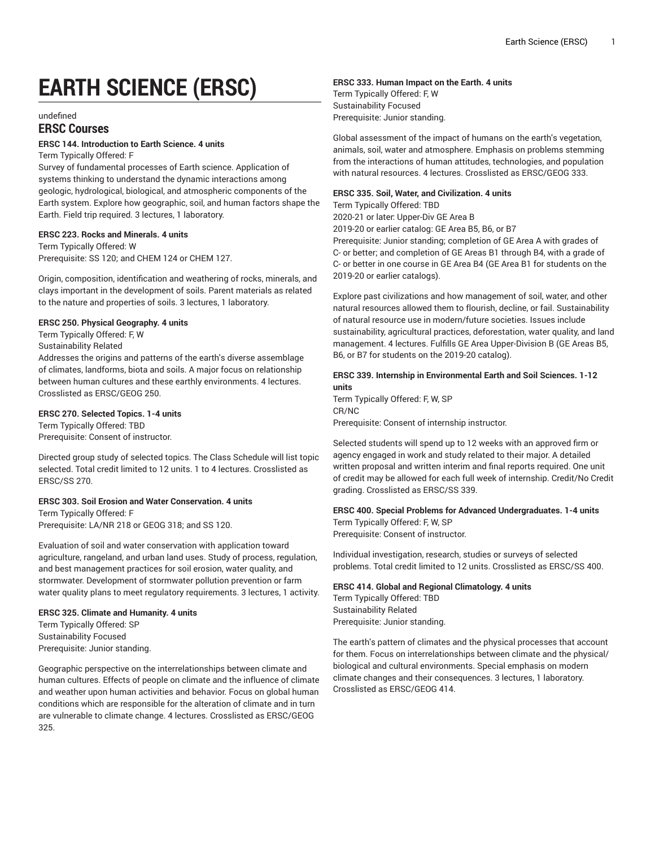# **EARTH SCIENCE (ERSC)**

#### undefined

# **ERSC Courses**

## **ERSC 144. Introduction to Earth Science. 4 units**

Term Typically Offered: F

Survey of fundamental processes of Earth science. Application of systems thinking to understand the dynamic interactions among geologic, hydrological, biological, and atmospheric components of the Earth system. Explore how geographic, soil, and human factors shape the Earth. Field trip required. 3 lectures, 1 laboratory.

#### **ERSC 223. Rocks and Minerals. 4 units**

Term Typically Offered: W Prerequisite: SS 120; and CHEM 124 or CHEM 127.

Origin, composition, identification and weathering of rocks, minerals, and clays important in the development of soils. Parent materials as related to the nature and properties of soils. 3 lectures, 1 laboratory.

# **ERSC 250. Physical Geography. 4 units**

Term Typically Offered: F, W

Sustainability Related

Addresses the origins and patterns of the earth's diverse assemblage of climates, landforms, biota and soils. A major focus on relationship between human cultures and these earthly environments. 4 lectures. Crosslisted as ERSC/GEOG 250.

#### **ERSC 270. Selected Topics. 1-4 units**

Term Typically Offered: TBD Prerequisite: Consent of instructor.

Directed group study of selected topics. The Class Schedule will list topic selected. Total credit limited to 12 units. 1 to 4 lectures. Crosslisted as ERSC/SS 270.

## **ERSC 303. Soil Erosion and Water Conservation. 4 units**

Term Typically Offered: F Prerequisite: LA/NR 218 or GEOG 318; and SS 120.

Evaluation of soil and water conservation with application toward agriculture, rangeland, and urban land uses. Study of process, regulation, and best management practices for soil erosion, water quality, and stormwater. Development of stormwater pollution prevention or farm water quality plans to meet regulatory requirements. 3 lectures, 1 activity.

#### **ERSC 325. Climate and Humanity. 4 units**

Term Typically Offered: SP Sustainability Focused Prerequisite: Junior standing.

Geographic perspective on the interrelationships between climate and human cultures. Effects of people on climate and the influence of climate and weather upon human activities and behavior. Focus on global human conditions which are responsible for the alteration of climate and in turn are vulnerable to climate change. 4 lectures. Crosslisted as ERSC/GEOG 325.

#### **ERSC 333. Human Impact on the Earth. 4 units**

Term Typically Offered: F, W Sustainability Focused Prerequisite: Junior standing.

Global assessment of the impact of humans on the earth's vegetation, animals, soil, water and atmosphere. Emphasis on problems stemming from the interactions of human attitudes, technologies, and population with natural resources. 4 lectures. Crosslisted as ERSC/GEOG 333.

#### **ERSC 335. Soil, Water, and Civilization. 4 units**

Term Typically Offered: TBD

2020-21 or later: Upper-Div GE Area B

2019-20 or earlier catalog: GE Area B5, B6, or B7

Prerequisite: Junior standing; completion of GE Area A with grades of C- or better; and completion of GE Areas B1 through B4, with a grade of C- or better in one course in GE Area B4 (GE Area B1 for students on the 2019-20 or earlier catalogs).

Explore past civilizations and how management of soil, water, and other natural resources allowed them to flourish, decline, or fail. Sustainability of natural resource use in modern/future societies. Issues include sustainability, agricultural practices, deforestation, water quality, and land management. 4 lectures. Fulfills GE Area Upper-Division B (GE Areas B5, B6, or B7 for students on the 2019-20 catalog).

**ERSC 339. Internship in Environmental Earth and Soil Sciences. 1-12 units** Term Typically Offered: F, W, SP

CR/NC Prerequisite: Consent of internship instructor.

Selected students will spend up to 12 weeks with an approved firm or agency engaged in work and study related to their major. A detailed written proposal and written interim and final reports required. One unit of credit may be allowed for each full week of internship. Credit/No Credit grading. Crosslisted as ERSC/SS 339.

# **ERSC 400. Special Problems for Advanced Undergraduates. 1-4 units** Term Typically Offered: F, W, SP

Prerequisite: Consent of instructor.

Individual investigation, research, studies or surveys of selected problems. Total credit limited to 12 units. Crosslisted as ERSC/SS 400.

#### **ERSC 414. Global and Regional Climatology. 4 units**

Term Typically Offered: TBD Sustainability Related Prerequisite: Junior standing.

The earth's pattern of climates and the physical processes that account for them. Focus on interrelationships between climate and the physical/ biological and cultural environments. Special emphasis on modern climate changes and their consequences. 3 lectures, 1 laboratory. Crosslisted as ERSC/GEOG 414.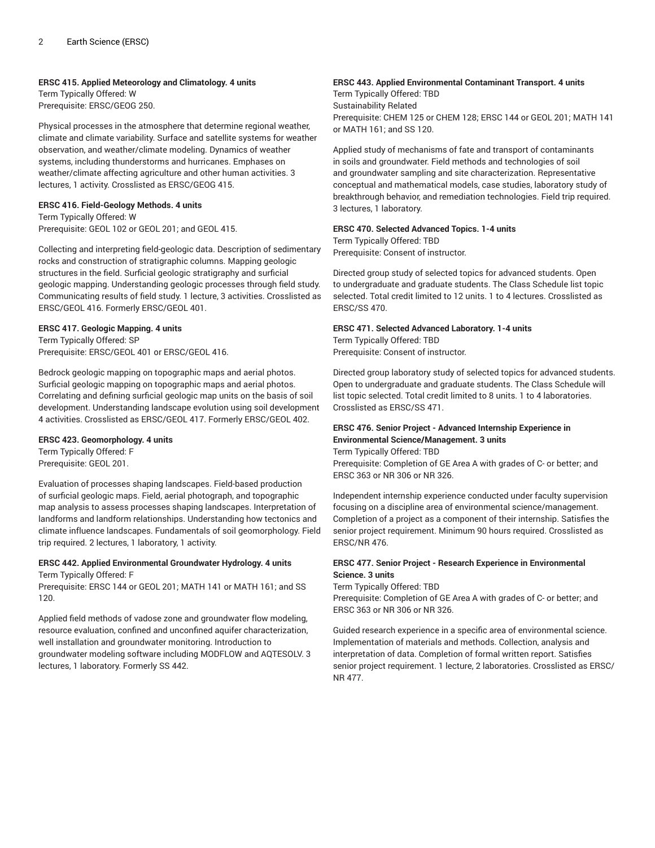#### **ERSC 415. Applied Meteorology and Climatology. 4 units**

Term Typically Offered: W Prerequisite: ERSC/GEOG 250.

Physical processes in the atmosphere that determine regional weather, climate and climate variability. Surface and satellite systems for weather observation, and weather/climate modeling. Dynamics of weather systems, including thunderstorms and hurricanes. Emphases on weather/climate affecting agriculture and other human activities. 3 lectures, 1 activity. Crosslisted as ERSC/GEOG 415.

#### **ERSC 416. Field-Geology Methods. 4 units**

Term Typically Offered: W Prerequisite: GEOL 102 or GEOL 201; and GEOL 415.

Collecting and interpreting field-geologic data. Description of sedimentary rocks and construction of stratigraphic columns. Mapping geologic structures in the field. Surficial geologic stratigraphy and surficial geologic mapping. Understanding geologic processes through field study. Communicating results of field study. 1 lecture, 3 activities. Crosslisted as ERSC/GEOL 416. Formerly ERSC/GEOL 401.

# **ERSC 417. Geologic Mapping. 4 units**

Term Typically Offered: SP Prerequisite: ERSC/GEOL 401 or ERSC/GEOL 416.

Bedrock geologic mapping on topographic maps and aerial photos. Surficial geologic mapping on topographic maps and aerial photos. Correlating and defining surficial geologic map units on the basis of soil development. Understanding landscape evolution using soil development 4 activities. Crosslisted as ERSC/GEOL 417. Formerly ERSC/GEOL 402.

# **ERSC 423. Geomorphology. 4 units**

Term Typically Offered: F Prerequisite: GEOL 201.

Evaluation of processes shaping landscapes. Field-based production of surficial geologic maps. Field, aerial photograph, and topographic map analysis to assess processes shaping landscapes. Interpretation of landforms and landform relationships. Understanding how tectonics and climate influence landscapes. Fundamentals of soil geomorphology. Field trip required. 2 lectures, 1 laboratory, 1 activity.

#### **ERSC 442. Applied Environmental Groundwater Hydrology. 4 units** Term Typically Offered: F

Prerequisite: ERSC 144 or GEOL 201; MATH 141 or MATH 161; and SS 120.

Applied field methods of vadose zone and groundwater flow modeling, resource evaluation, confined and unconfined aquifer characterization, well installation and groundwater monitoring. Introduction to groundwater modeling software including MODFLOW and AQTESOLV. 3 lectures, 1 laboratory. Formerly SS 442.

# **ERSC 443. Applied Environmental Contaminant Transport. 4 units**

Term Typically Offered: TBD Sustainability Related Prerequisite: CHEM 125 or CHEM 128; ERSC 144 or GEOL 201; MATH 141 or MATH 161; and SS 120.

Applied study of mechanisms of fate and transport of contaminants in soils and groundwater. Field methods and technologies of soil and groundwater sampling and site characterization. Representative conceptual and mathematical models, case studies, laboratory study of breakthrough behavior, and remediation technologies. Field trip required. 3 lectures, 1 laboratory.

## **ERSC 470. Selected Advanced Topics. 1-4 units**

Term Typically Offered: TBD Prerequisite: Consent of instructor.

Directed group study of selected topics for advanced students. Open to undergraduate and graduate students. The Class Schedule list topic selected. Total credit limited to 12 units. 1 to 4 lectures. Crosslisted as ERSC/SS 470.

#### **ERSC 471. Selected Advanced Laboratory. 1-4 units**

Term Typically Offered: TBD Prerequisite: Consent of instructor.

Directed group laboratory study of selected topics for advanced students. Open to undergraduate and graduate students. The Class Schedule will list topic selected. Total credit limited to 8 units. 1 to 4 laboratories. Crosslisted as ERSC/SS 471.

#### **ERSC 476. Senior Project - Advanced Internship Experience in Environmental Science/Management. 3 units** Term Typically Offered: TBD

Prerequisite: Completion of GE Area A with grades of C- or better; and ERSC 363 or NR 306 or NR 326.

Independent internship experience conducted under faculty supervision focusing on a discipline area of environmental science/management. Completion of a project as a component of their internship. Satisfies the senior project requirement. Minimum 90 hours required. Crosslisted as ERSC/NR 476.

#### **ERSC 477. Senior Project - Research Experience in Environmental Science. 3 units**

Term Typically Offered: TBD

Prerequisite: Completion of GE Area A with grades of C- or better; and ERSC 363 or NR 306 or NR 326.

Guided research experience in a specific area of environmental science. Implementation of materials and methods. Collection, analysis and interpretation of data. Completion of formal written report. Satisfies senior project requirement. 1 lecture, 2 laboratories. Crosslisted as ERSC/ NR 477.